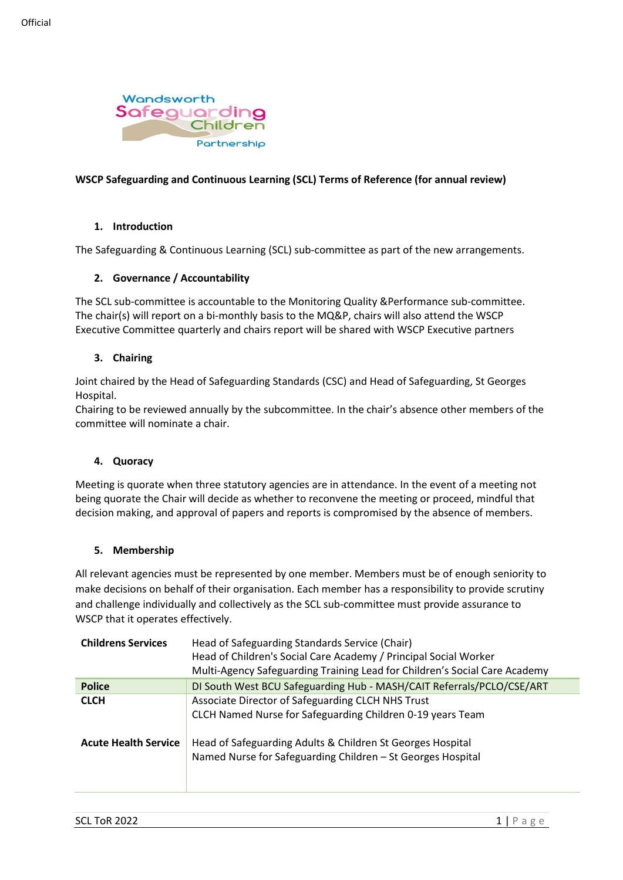

# **WSCP Safeguarding and Continuous Learning (SCL) Terms of Reference (for annual review)**

### **1. Introduction**

The Safeguarding & Continuous Learning (SCL) sub-committee as part of the new arrangements.

# **2. Governance / Accountability**

The SCL sub-committee is accountable to the Monitoring Quality &Performance sub-committee. The chair(s) will report on a bi-monthly basis to the MQ&P, chairs will also attend the WSCP Executive Committee quarterly and chairs report will be shared with WSCP Executive partners

# **3. Chairing**

Joint chaired by the Head of Safeguarding Standards (CSC) and Head of Safeguarding, St Georges Hospital.

Chairing to be reviewed annually by the subcommittee. In the chair's absence other members of the committee will nominate a chair.

### **4. Quoracy**

Meeting is quorate when three statutory agencies are in attendance. In the event of a meeting not being quorate the Chair will decide as whether to reconvene the meeting or proceed, mindful that decision making, and approval of papers and reports is compromised by the absence of members.

### **5. Membership**

All relevant agencies must be represented by one member. Members must be of enough seniority to make decisions on behalf of their organisation. Each member has a responsibility to provide scrutiny and challenge individually and collectively as the SCL sub-committee must provide assurance to WSCP that it operates effectively.

| <b>Childrens Services</b>   | Head of Safeguarding Standards Service (Chair)<br>Head of Children's Social Care Academy / Principal Social Worker<br>Multi-Agency Safeguarding Training Lead for Children's Social Care Academy |
|-----------------------------|--------------------------------------------------------------------------------------------------------------------------------------------------------------------------------------------------|
| <b>Police</b>               | DI South West BCU Safeguarding Hub - MASH/CAIT Referrals/PCLO/CSE/ART                                                                                                                            |
| <b>CLCH</b>                 | Associate Director of Safeguarding CLCH NHS Trust<br>CLCH Named Nurse for Safeguarding Children 0-19 years Team                                                                                  |
| <b>Acute Health Service</b> | Head of Safeguarding Adults & Children St Georges Hospital<br>Named Nurse for Safeguarding Children - St Georges Hospital                                                                        |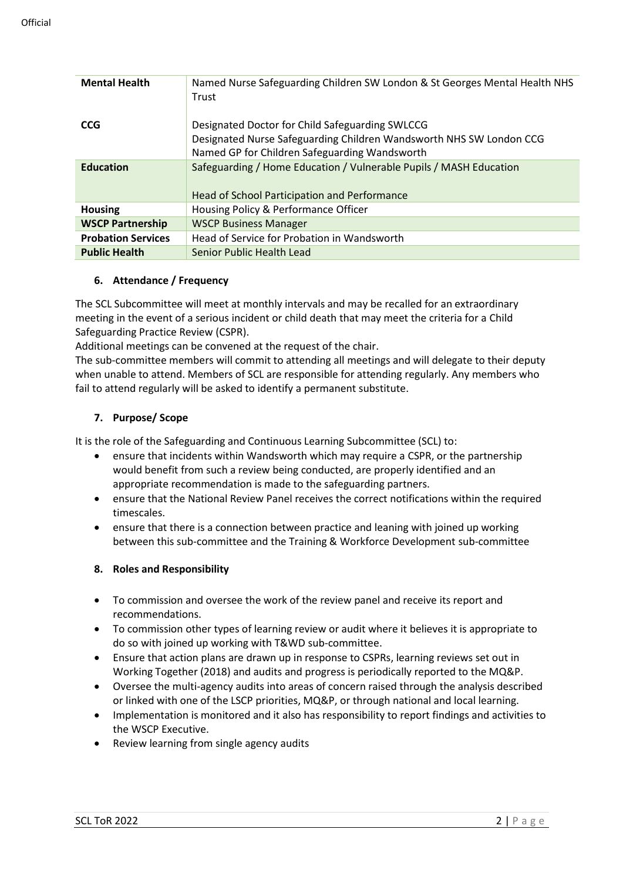| <b>Mental Health</b>      | Named Nurse Safeguarding Children SW London & St Georges Mental Health NHS<br>Trust |
|---------------------------|-------------------------------------------------------------------------------------|
| <b>CCG</b>                | Designated Doctor for Child Safeguarding SWLCCG                                     |
|                           | Designated Nurse Safeguarding Children Wandsworth NHS SW London CCG                 |
|                           | Named GP for Children Safeguarding Wandsworth                                       |
| <b>Education</b>          | Safeguarding / Home Education / Vulnerable Pupils / MASH Education                  |
|                           | Head of School Participation and Performance                                        |
| <b>Housing</b>            | Housing Policy & Performance Officer                                                |
| <b>WSCP Partnership</b>   | <b>WSCP Business Manager</b>                                                        |
| <b>Probation Services</b> | Head of Service for Probation in Wandsworth                                         |
| <b>Public Health</b>      | Senior Public Health Lead                                                           |

# **6. Attendance / Frequency**

The SCL Subcommittee will meet at monthly intervals and may be recalled for an extraordinary meeting in the event of a serious incident or child death that may meet the criteria for a Child Safeguarding Practice Review (CSPR).

Additional meetings can be convened at the request of the chair.

The sub-committee members will commit to attending all meetings and will delegate to their deputy when unable to attend. Members of SCL are responsible for attending regularly. Any members who fail to attend regularly will be asked to identify a permanent substitute.

# **7. Purpose/ Scope**

It is the role of the Safeguarding and Continuous Learning Subcommittee (SCL) to:

- ensure that incidents within Wandsworth which may require a CSPR, or the partnership would benefit from such a review being conducted, are properly identified and an appropriate recommendation is made to the safeguarding partners.
- ensure that the National Review Panel receives the correct notifications within the required timescales.
- ensure that there is a connection between practice and leaning with joined up working between this sub-committee and the Training & Workforce Development sub-committee

### **8. Roles and Responsibility**

- To commission and oversee the work of the review panel and receive its report and recommendations.
- To commission other types of learning review or audit where it believes it is appropriate to do so with joined up working with T&WD sub-committee.
- Ensure that action plans are drawn up in response to CSPRs, learning reviews set out in Working Together (2018) and audits and progress is periodically reported to the MQ&P.
- Oversee the multi-agency audits into areas of concern raised through the analysis described or linked with one of the LSCP priorities, MQ&P, or through national and local learning.
- Implementation is monitored and it also has responsibility to report findings and activities to the WSCP Executive.
- Review learning from single agency audits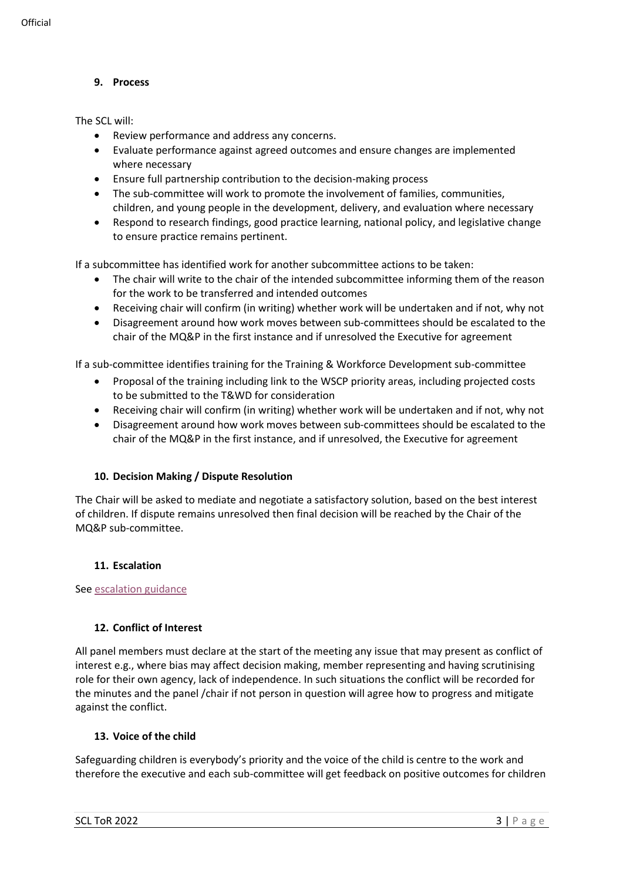# **9. Process**

The SCL will:

- Review performance and address any concerns.
- Evaluate performance against agreed outcomes and ensure changes are implemented where necessary
- Ensure full partnership contribution to the decision-making process
- The sub-committee will work to promote the involvement of families, communities, children, and young people in the development, delivery, and evaluation where necessary
- Respond to research findings, good practice learning, national policy, and legislative change to ensure practice remains pertinent.

If a subcommittee has identified work for another subcommittee actions to be taken:

- The chair will write to the chair of the intended subcommittee informing them of the reason for the work to be transferred and intended outcomes
- Receiving chair will confirm (in writing) whether work will be undertaken and if not, why not
- Disagreement around how work moves between sub-committees should be escalated to the chair of the MQ&P in the first instance and if unresolved the Executive for agreement

If a sub-committee identifies training for the Training & Workforce Development sub-committee

- Proposal of the training including link to the WSCP priority areas, including projected costs to be submitted to the T&WD for consideration
- Receiving chair will confirm (in writing) whether work will be undertaken and if not, why not
- Disagreement around how work moves between sub-committees should be escalated to the chair of the MQ&P in the first instance, and if unresolved, the Executive for agreement

### **10. Decision Making / Dispute Resolution**

The Chair will be asked to mediate and negotiate a satisfactory solution, based on the best interest of children. If dispute remains unresolved then final decision will be reached by the Chair of the MQ&P sub-committee.

### **11. Escalation**

Se[e escalation guidance](https://wscp.org.uk/media/1329/inter_agency_escalation_policy-v2.docx)

### **12. Conflict of Interest**

All panel members must declare at the start of the meeting any issue that may present as conflict of interest e.g., where bias may affect decision making, member representing and having scrutinising role for their own agency, lack of independence. In such situations the conflict will be recorded for the minutes and the panel /chair if not person in question will agree how to progress and mitigate against the conflict.

## **13. Voice of the child**

Safeguarding children is everybody's priority and the voice of the child is centre to the work and therefore the executive and each sub-committee will get feedback on positive outcomes for children